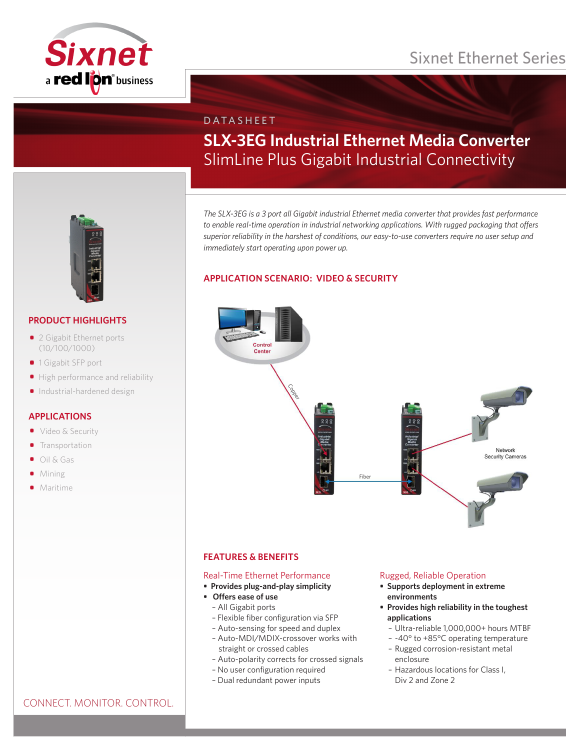# Sixnet Ethernet Series



# DATASHEET **SLX-3EG Industrial Ethernet Media Converter** SlimLine Plus Gigabit Industrial Connectivity

*The SLX-3EG is a 3 port all Gigabit industrial Ethernet media converter that provides fast performance to enable real-time operation in industrial networking applications. With rugged packaging that offers superior reliability in the harshest of conditions, our easy-to-use converters require no user setup and immediately start operating upon power up.*

# **APPLICATION SCENARIO: VIDEO & SECURITY**



# **FEATURES & BENEFITS**

# Real-Time Ethernet Performance

- **• Provides plug-and-play simplicity**
- **• Offers ease of use**
	- All Gigabit ports
	- Flexible fiber configuration via SFP
	- Auto-sensing for speed and duplex
	- Auto-MDI/MDIX-crossover works with straight or crossed cables
	- Auto-polarity corrects for crossed signals
	- No user configuration required
	- Dual redundant power inputs

# Rugged, Reliable Operation

- **• Supports deployment in extreme environments**
- **• Provides high reliability in the toughest applications**
	- Ultra-reliable 1,000,000+ hours MTBF
	- -40° to +85°C operating temperature
	- Rugged corrosion-resistant metal enclosure
	- Hazardous locations for Class I, Div 2 and Zone 2



# **PRODUCT HIGHLIGHTS**

- 2 Gigabit Ethernet ports (10/100/1000)
- 1 Gigabit SFP port
- High performance and reliability
- Industrial-hardened design

# **APPLICATIONS**

- Video & Security
- **•** Transportation
- Oil & Gas
- Mining
- **•** Maritime

# CONNECT. MONITOR. CONTROL.